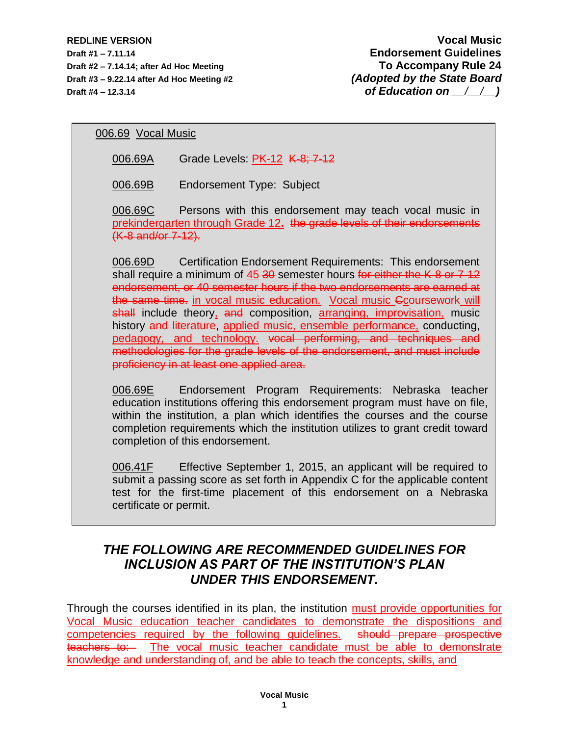**REDLINE VERSION Vocal Music Draft #1 – 7.11.14 Endorsement Guidelines Draft #2 – 7.14.14; after Ad Hoc Meeting To Accompany Rule 24 Draft #3 – 9.22.14 after Ad Hoc Meeting #2** *(Adopted by the State Board* **Draft #4 – 12.3.14** *of Education on*  $\qquad$ */*  $\qquad$  *)* 

006.69 Vocal Music

006.69A Grade Levels: PK-12 K-8; 7-12

006.69B Endorsement Type: Subject

006.69C Persons with this endorsement may teach vocal music in prekindergarten through Grade 12**.** the grade levels of their endorsements (K-8 and/or 7-12).

006.69D Certification Endorsement Requirements: This endorsement shall require a minimum of 45 30 semester hours for either the K-8 or 7-12 endorsement, or 40 semester hours if the two endorsements are earned at the same time. in vocal music education. Vocal music Ccoursework will shall include theory, and composition, arranging, improvisation, music history and literature, applied music, ensemble performance, conducting, pedagogy, and technology. vocal performing, and techniques and methodologies for the grade levels of the endorsement, and must include proficiency in at least one applied area.

006.69E Endorsement Program Requirements: Nebraska teacher education institutions offering this endorsement program must have on file, within the institution, a plan which identifies the courses and the course completion requirements which the institution utilizes to grant credit toward completion of this endorsement.

006.41F Effective September 1, 2015, an applicant will be required to submit a passing score as set forth in Appendix C for the applicable content test for the first-time placement of this endorsement on a Nebraska certificate or permit.

## *THE FOLLOWING ARE RECOMMENDED GUIDELINES FOR INCLUSION AS PART OF THE INSTITUTION'S PLAN UNDER THIS ENDORSEMENT.*

Through the courses identified in its plan, the institution must provide opportunities for Vocal Music education teacher candidates to demonstrate the dispositions and competencies required by the following guidelines. should prepare prospective teachers to: The vocal music teacher candidate must be able to demonstrate knowledge and understanding of, and be able to teach the concepts, skills, and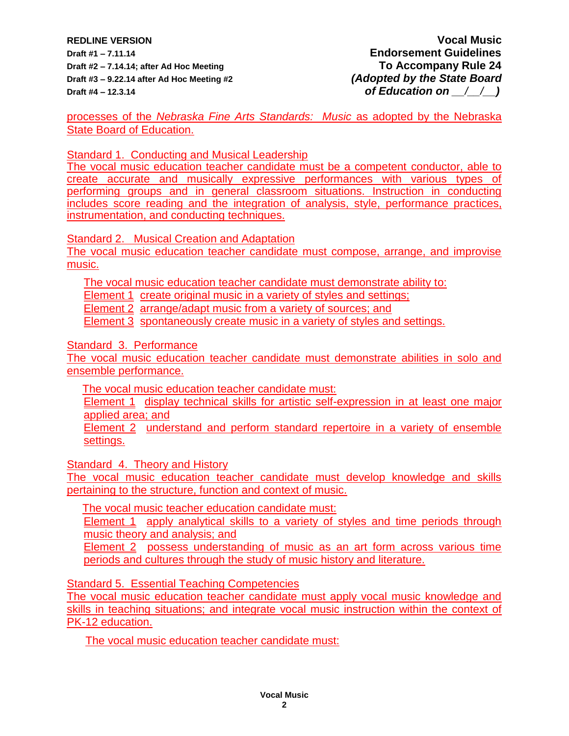**REDLINE VERSION Vocal Music Draft #1 – 7.11.14 Endorsement Guidelines Draft #2 – 7.14.14; after Ad Hoc Meeting To Accompany Rule 24 Draft #3 – 9.22.14 after Ad Hoc Meeting #2** *(Adopted by the State Board* **Draft #4 – 12.3.14** *of Education on*  $\left(\begin{array}{cc} 1 \end{array}\right)$ 

processes of the *Nebraska Fine Arts Standards: Music* as adopted by the Nebraska State Board of Education.

Standard 1. Conducting and Musical Leadership

The vocal music education teacher candidate must be a competent conductor, able to create accurate and musically expressive performances with various types of performing groups and in general classroom situations. Instruction in conducting includes score reading and the integration of analysis, style, performance practices, instrumentation, and conducting techniques.

Standard 2. Musical Creation and Adaptation

The vocal music education teacher candidate must compose, arrange, and improvise music.

The vocal music education teacher candidate must demonstrate ability to:

Element 1 create original music in a variety of styles and settings;

Element 2 arrange/adapt music from a variety of sources; and

Element 3 spontaneously create music in a variety of styles and settings.

Standard 3. Performance

The vocal music education teacher candidate must demonstrate abilities in solo and ensemble performance.

The vocal music education teacher candidate must:

Element 1 display technical skills for artistic self-expression in at least one major applied area; and

Element 2 understand and perform standard repertoire in a variety of ensemble settings.

Standard 4. Theory and History

The vocal music education teacher candidate must develop knowledge and skills pertaining to the structure, function and context of music.

The vocal music teacher education candidate must:

Element 1 apply analytical skills to a variety of styles and time periods through music theory and analysis; and

Element 2 possess understanding of music as an art form across various time periods and cultures through the study of music history and literature.

**Standard 5. Essential Teaching Competencies** 

The vocal music education teacher candidate must apply vocal music knowledge and skills in teaching situations; and integrate vocal music instruction within the context of PK-12 education.

The vocal music education teacher candidate must: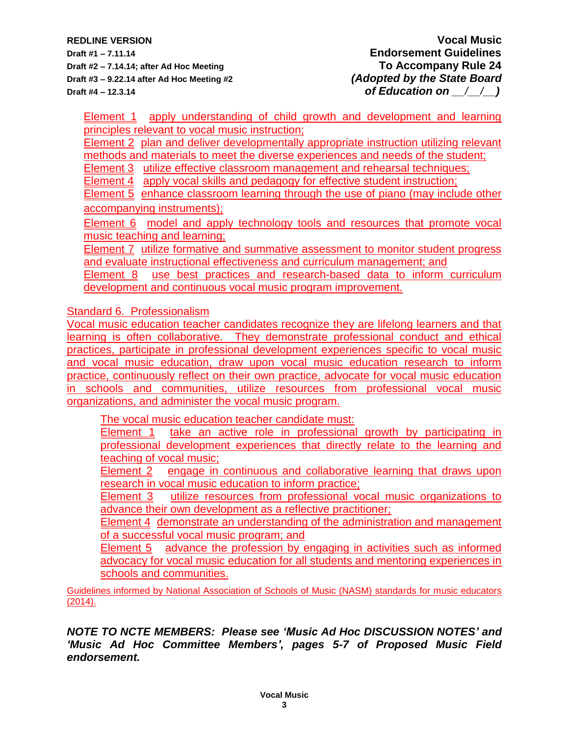**Draft #1 – 7.11.14 Endorsement Guidelines Draft #2 – 7.14.14; after Ad Hoc Meeting To Accompany Rule 24 Draft #3 – 9.22.14 after Ad Hoc Meeting #2** *(Adopted by the State Board* **Draft #4 – 12.3.14** *of Education on*  $\left(\begin{array}{cc} 1 \end{array}\right)$ 

Element 1 apply understanding of child growth and development and learning principles relevant to vocal music instruction;

Element 2 plan and deliver developmentally appropriate instruction utilizing relevant methods and materials to meet the diverse experiences and needs of the student;

Element 3 utilize effective classroom management and rehearsal techniques;

Element 4 apply vocal skills and pedagogy for effective student instruction:

Element 5 enhance classroom learning through the use of piano (may include other accompanying instruments);

Element 6 model and apply technology tools and resources that promote vocal music teaching and learning;

**Element 7** utilize formative and summative assessment to monitor student progress and evaluate instructional effectiveness and curriculum management; and

Element 8 use best practices and research-based data to inform curriculum development and continuous vocal music program improvement.

Standard 6. Professionalism

Vocal music education teacher candidates recognize they are lifelong learners and that learning is often collaborative. They demonstrate professional conduct and ethical practices, participate in professional development experiences specific to vocal music and vocal music education, draw upon vocal music education research to inform practice, continuously reflect on their own practice, advocate for vocal music education in schools and communities, utilize resources from professional vocal music organizations, and administer the vocal music program.

The vocal music education teacher candidate must:

Element 1 take an active role in professional growth by participating in professional development experiences that directly relate to the learning and teaching of vocal music;

Element 2 engage in continuous and collaborative learning that draws upon research in vocal music education to inform practice;

Element 3 utilize resources from professional vocal music organizations to advance their own development as a reflective practitioner;

Element 4 demonstrate an understanding of the administration and management of a successful vocal music program; and

Element 5 advance the profession by engaging in activities such as informed advocacy for vocal music education for all students and mentoring experiences in schools and communities.

Guidelines informed by National Association of Schools of Music (NASM) standards for music educators  $(2014).$ 

*NOTE TO NCTE MEMBERS: Please see 'Music Ad Hoc DISCUSSION NOTES' and 'Music Ad Hoc Committee Members', pages 5-7 of Proposed Music Field endorsement.*